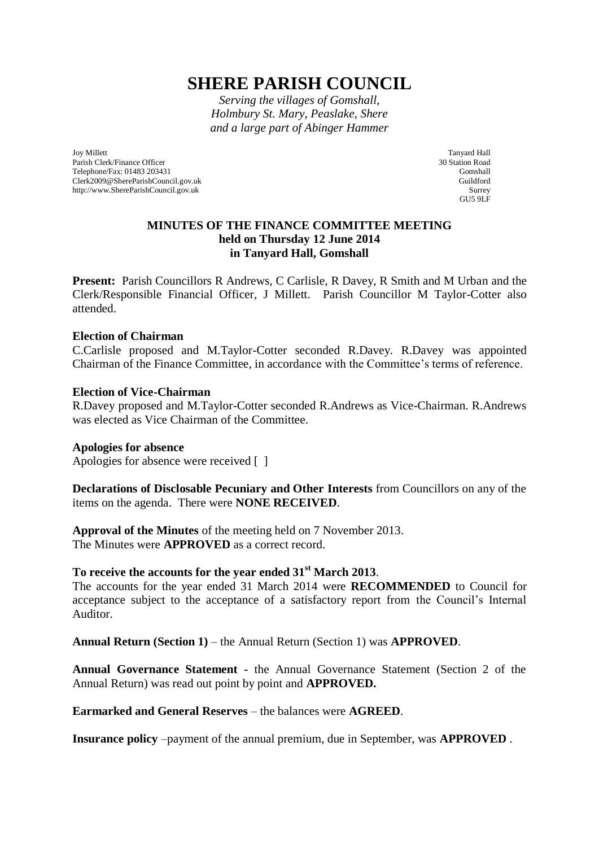# **SHERE PARISH COUNCIL**

*Serving the villages of Gomshall, Holmbury St. Mary, Peaslake, Shere and a large part of Abinger Hammer*

Joy Millett Parish Clerk/Finance Officer Telephone/Fax: 01483 203431 Clerk2009@ShereParishCouncil.gov.uk http://www.ShereParishCouncil.gov.uk

Tanyard Hall 30 Station Road Gomshall Guildford Surrey GU5 9LF

## **MINUTES OF THE FINANCE COMMITTEE MEETING held on Thursday 12 June 2014 in Tanyard Hall, Gomshall**

Present: Parish Councillors R Andrews, C Carlisle, R Davey, R Smith and M Urban and the Clerk/Responsible Financial Officer, J Millett. Parish Councillor M Taylor-Cotter also attended.

### **Election of Chairman**

C.Carlisle proposed and M.Taylor-Cotter seconded R.Davey. R.Davey was appointed Chairman of the Finance Committee, in accordance with the Committee's terms of reference.

### **Election of Vice-Chairman**

R.Davey proposed and M.Taylor-Cotter seconded R.Andrews as Vice-Chairman. R.Andrews was elected as Vice Chairman of the Committee.

#### **Apologies for absence**

Apologies for absence were received [ ]

## **Declarations of Disclosable Pecuniary and Other Interests** from Councillors on any of the items on the agenda. There were **NONE RECEIVED**.

**Approval of the Minutes** of the meeting held on 7 November 2013. The Minutes were **APPROVED** as a correct record.

## **To receive the accounts for the year ended 31st March 2013**.

The accounts for the year ended 31 March 2014 were **RECOMMENDED** to Council for acceptance subject to the acceptance of a satisfactory report from the Council's Internal Auditor.

**Annual Return (Section 1)** – the Annual Return (Section 1) was **APPROVED**.

**Annual Governance Statement -** the Annual Governance Statement (Section 2 of the Annual Return) was read out point by point and **APPROVED.**

**Earmarked and General Reserves** – the balances were **AGREED**.

**Insurance policy** –payment of the annual premium, due in September, was **APPROVED** .